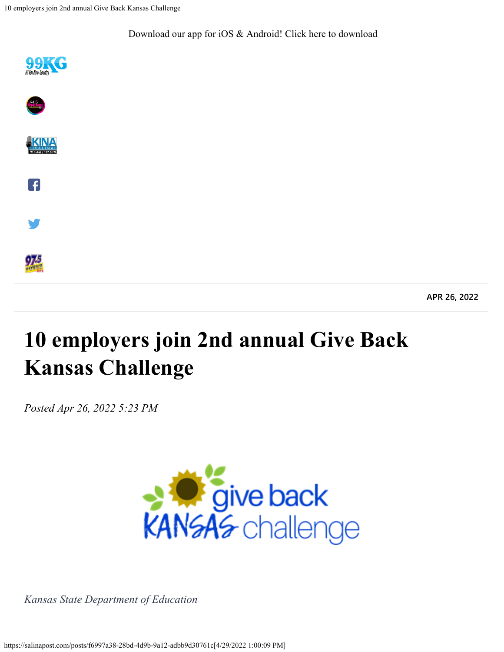10 employers join 2nd annual Give Back Kansas Challenge

[Download our app for iOS & Android! Click here to download](https://salinapost.com/download)











97.5

**APR 26, 2022**

## **10 employers join 2nd annual Give Back Kansas Challenge**

*Posted Apr 26, 2022 5:23 PM*



*Kansas State Department of Education*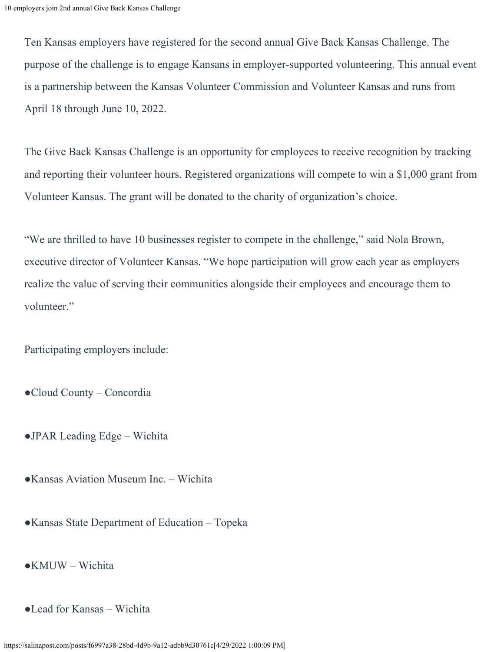Ten Kansas employers have registered for the second annual Give Back Kansas Challenge. The purpose of the challenge is to engage Kansans in employer-supported volunteering. This annual event is a partnership between the Kansas Volunteer Commission and Volunteer Kansas and runs from April 18 through June 10, 2022.

The Give Back Kansas Challenge is an opportunity for employees to receive recognition by tracking and reporting their volunteer hours. Registered organizations will compete to win a \$1,000 grant from Volunteer Kansas. The grant will be donated to the charity of organization's choice.

"We are thrilled to have 10 businesses register to compete in the challenge," said Nola Brown, executive director of Volunteer Kansas. "We hope participation will grow each year as employers realize the value of serving their communities alongside their employees and encourage them to volunteer."

Participating employers include:

- ●Cloud County Concordia
- ●JPAR Leading Edge Wichita
- ●Kansas Aviation Museum Inc. Wichita
- ●Kansas State Department of Education Topeka
- ●KMUW Wichita
- ●Lead for Kansas Wichita